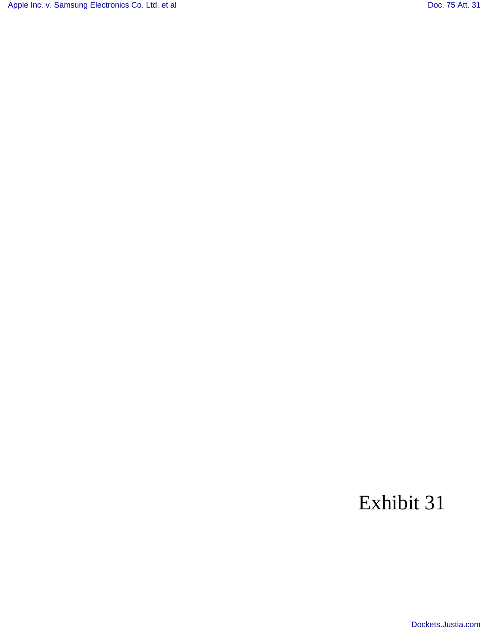[Apple Inc. v. Samsung Electronics Co. Ltd. et al](http://dockets.justia.com/docket/california/candce/5:2011cv01846/239768/) [Doc. 75 Att. 31](http://docs.justia.com/cases/federal/district-courts/california/candce/5:2011cv01846/239768/75/31.html)

## Exhibit 31

[Dockets.Justia.com](http://dockets.justia.com/)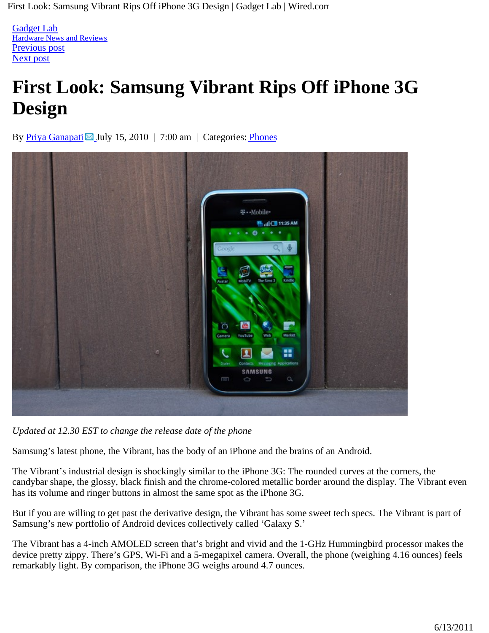First Look: Samsung Vibrant Rips Off iPhone 3G Design | Gadget Lab | Wired.com

**Gadget Lab** experience that the contract of the contract of the contract of the contract of the contract of the contract of the contract of the contract of the contract of the contract of the contract of the contract of t Hardware News and Reviews Previous post and the previous post of the set of the set of the set of the set of the set of the set of the set of the set of the set of the set of the set of the set of the set of the set of the set of the set of the set Next post

## **First Look: Samsung Vibrant Rips Off iPhone 3G Design**

By Priya Ganapati  $\boxtimes$  July 15, 2010 | 7:00 am | Categories: Phones



*Updated at 12.30 EST to change the release date of the phone*

Samsung's latest phone, the Vibrant, has the body of an iPhone and the brains of an Android.

The Vibrant's industrial design is shockingly similar to the iPhone 3G: The rounded curves at the corners, the candybar shape, the glossy, black finish and the chrome-colored metallic border around the display. The Vibrant even has its volume and ringer buttons in almost the same spot as the iPhone 3G.

But if you are willing to get past the derivative design, the Vibrant has some sweet tech specs. The Vibrant is part of Samsung's new portfolio of Android devices collectively called 'Galaxy S.'

The Vibrant has a 4-inch AMOLED screen that's bright and vivid and the 1-GHz Hummingbird processor makes the device pretty zippy. There's GPS, Wi-Fi and a 5-megapixel camera. Overall, the phone (weighing 4.16 ounces) feels remarkably light. By comparison, the iPhone 3G weighs around 4.7 ounces.